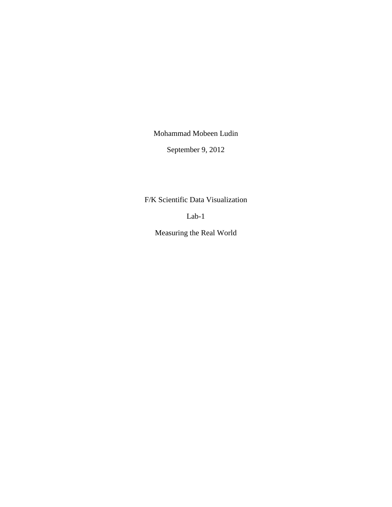Mohammad Mobeen Ludin

September 9, 2012

F/K Scientific Data Visualization

Lab-1

Measuring the Real World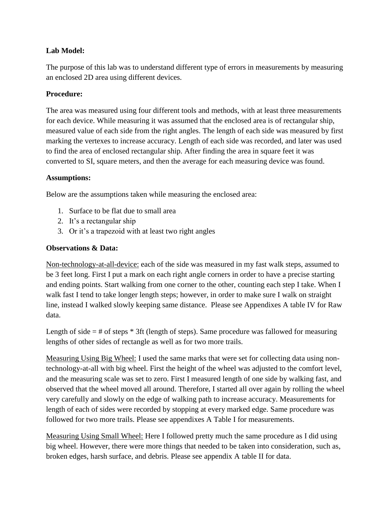# **Lab Model:**

The purpose of this lab was to understand different type of errors in measurements by measuring an enclosed 2D area using different devices.

# **Procedure:**

The area was measured using four different tools and methods, with at least three measurements for each device. While measuring it was assumed that the enclosed area is of rectangular ship, measured value of each side from the right angles. The length of each side was measured by first marking the vertexes to increase accuracy. Length of each side was recorded, and later was used to find the area of enclosed rectangular ship. After finding the area in square feet it was converted to SI, square meters, and then the average for each measuring device was found.

# **Assumptions:**

Below are the assumptions taken while measuring the enclosed area:

- 1. Surface to be flat due to small area
- 2. It's a rectangular ship
- 3. Or it's a trapezoid with at least two right angles

# **Observations & Data:**

Non-technology-at-all-device: each of the side was measured in my fast walk steps, assumed to be 3 feet long. First I put a mark on each right angle corners in order to have a precise starting and ending points. Start walking from one corner to the other, counting each step I take. When I walk fast I tend to take longer length steps; however, in order to make sure I walk on straight line, instead I walked slowly keeping same distance. Please see Appendixes A table IV for Raw data.

Length of side  $=$  # of steps  $*$  3ft (length of steps). Same procedure was fallowed for measuring lengths of other sides of rectangle as well as for two more trails.

Measuring Using Big Wheel: I used the same marks that were set for collecting data using nontechnology-at-all with big wheel. First the height of the wheel was adjusted to the comfort level, and the measuring scale was set to zero. First I measured length of one side by walking fast, and observed that the wheel moved all around. Therefore, I started all over again by rolling the wheel very carefully and slowly on the edge of walking path to increase accuracy. Measurements for length of each of sides were recorded by stopping at every marked edge. Same procedure was followed for two more trails. Please see appendixes A Table I for measurements.

Measuring Using Small Wheel: Here I followed pretty much the same procedure as I did using big wheel. However, there were more things that needed to be taken into consideration, such as, broken edges, harsh surface, and debris. Please see appendix A table II for data.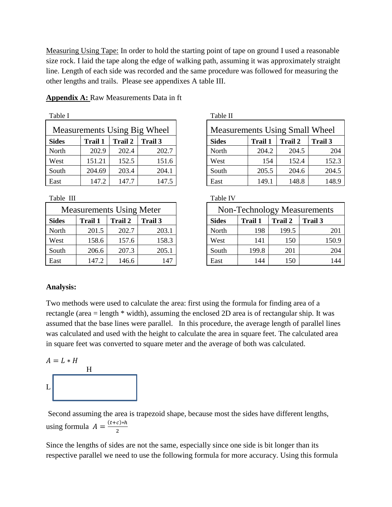Measuring Using Tape: In order to hold the starting point of tape on ground I used a reasonable size rock. I laid the tape along the edge of walking path, assuming it was approximately straight line. Length of each side was recorded and the same procedure was followed for measuring the other lengths and trails. Please see appendixes A table III.

| Table I                      |                |                |         |                                      | Table II     |                |                |                |
|------------------------------|----------------|----------------|---------|--------------------------------------|--------------|----------------|----------------|----------------|
| Measurements Using Big Wheel |                |                |         | <b>Measurements Using Small Whee</b> |              |                |                |                |
| <b>Sides</b>                 | <b>Trail 1</b> | <b>Trail 2</b> | Trail 3 |                                      | <b>Sides</b> | <b>Trail 1</b> | <b>Trail 2</b> | <b>Trail 3</b> |
| North                        | 202.9          | 202.4          | 202.7   |                                      | North        | 204.2          | 204.5          |                |
| West                         | 151.21         | 152.5          | 151.6   |                                      | West         | 154            | 152.4          | 15             |
| South                        | 204.69         | 203.4          | 204.1   |                                      | South        | 205.5          | 204.6          | 20             |
| East                         | 147.2          | 147.7          | 147.5   | East                                 |              | 149.1          | 148.8          | 14             |

**Appendix A:** Raw Measurements Data in ft

Table III Table IV

|              | <b>Measurements Using Meter</b> |                |         |              | Non-Technology Measureme |                |                |
|--------------|---------------------------------|----------------|---------|--------------|--------------------------|----------------|----------------|
| <b>Sides</b> | Trail 1                         | <b>Trail 2</b> | Trail 3 | <b>Sides</b> | <b>Trail 1</b>           | <b>Trail 2</b> | <b>Trail 3</b> |
| North        | 201.5                           | 202.7          | 203.1   | North        | 198                      | 199.5          |                |
| West         | 158.6                           | 157.6          | 158.3   | West         | 141                      | 150            |                |
| South        | 206.6                           | 207.3          | 205.1   | South        | 199.8                    | 201            |                |
| East         | 147.2                           | 146.6          | 147     | East         | 144                      | 150            |                |

| Table I                      |                |                |                                       | Table II     |                |         |         |
|------------------------------|----------------|----------------|---------------------------------------|--------------|----------------|---------|---------|
| Measurements Using Big Wheel |                |                | <b>Measurements Using Small Wheel</b> |              |                |         |         |
| <b>Sides</b>                 | <b>Trail 1</b> | <b>Trail 2</b> | Trail 3                               | <b>Sides</b> | <b>Trail 1</b> | Trail 2 | Trail 3 |
| North                        | 202.9          | 202.4          | 202.7                                 | North        | 204.2          | 204.5   | 204     |
| West                         | 151.21         | 152.5          | 151.6                                 | West         | 154            | 152.4   | 152.3   |
| South                        | 204.69         | 203.4          | 204.1                                 | South        | 205.5          | 204.6   | 204.5   |
| East                         | 147.2          | 147.7          | 147.5                                 | East         | 149.1          | 148.8   | 148.9   |

| <b>Measurements Using Meter</b> |                |                | <b>Non-Technology Measurements</b> |              |                |                |         |
|---------------------------------|----------------|----------------|------------------------------------|--------------|----------------|----------------|---------|
| Sides                           | <b>Trail 1</b> | <b>Trail 2</b> | Trail 3                            | <b>Sides</b> | <b>Trail 1</b> | <b>Trail 2</b> | Trail 3 |
| North                           | 201.5          | 202.7          | 203.1                              | North        | 198            | 199.5          | 201     |
| West                            | 158.6          | 157.6          | 158.3                              | West         | 141            | 150            | 150.9   |
| South                           | 206.6          | 207.3          | 205.1                              | South        | 199.8          | 201            | 204     |
| East                            | 147.2          | 146.6          | 147                                | East         | 144            | 150            | 144     |

## **Analysis:**

Two methods were used to calculate the area: first using the formula for finding area of a rectangle (area = length \* width), assuming the enclosed 2D area is of rectangular ship. It was assumed that the base lines were parallel. In this procedure, the average length of parallel lines was calculated and used with the height to calculate the area in square feet. The calculated area in square feet was converted to square meter and the average of both was calculated.

$$
A = L * H
$$
  
L

Second assuming the area is trapezoid shape, because most the sides have different lengths, using formula  $A = \frac{(t+c)^2}{2}$  $\overline{\mathbf{c}}$ 

Since the lengths of sides are not the same, especially since one side is bit longer than its respective parallel we need to use the following formula for more accuracy. Using this formula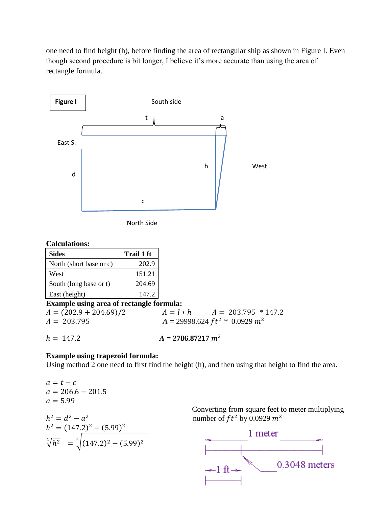one need to find height (h), before finding the area of rectangular ship as shown in Figure I. Even though second procedure is bit longer, I believe it's more accurate than using the area of rectangle formula.



North Side

### **Calculations:**

| <b>Sides</b>            | Trail 1 ft |
|-------------------------|------------|
| North (short base or c) | 202.9      |
| West                    | 151.21     |
| South (long base or t)  | 204.69     |
| East (height)           | 147.2      |

# **Example using area of rectangle formula:**

 $A = (202.9 + 204.69)/2$   $A = l * h$   $A = 203.795 * 147.2$  $A = 203.795$   $A = 29998.624 ft^2 * 0.0929 m^2$ 

$$
h = 147.2 \qquad A = 2786.87217 \ m^2
$$

# **Example using trapezoid formula:**

Using method 2 one need to first find the height (h), and then using that height to find the area.

$$
a = t - c
$$
  
\n
$$
a = 206.6 - 201.5
$$
  
\n
$$
a = 5.99
$$
  
\n
$$
h2 = d2 - a2
$$
  
\n
$$
h2 = (147.2)2 - (5.99)2
$$
  
\n
$$
\sqrt[2]{h2} = \sqrt[2]{(147.2)2 - (5.99)2}
$$

 Converting from square feet to meter multiplying number of  $ft^2$  by 0.0929  $m^2$ 

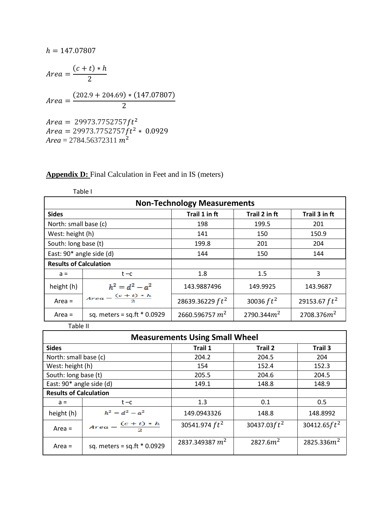$$
h = 147.07807
$$
\n
$$
Area = \frac{(c + t) * h}{2}
$$
\n
$$
Area = \frac{(202.9 + 204.69) * (147.07807)}{2}
$$
\n
$$
Area = 29973.7752757 ft^{2}
$$
\n
$$
Area = 29973.7752757 ft^{2} * 0.0929
$$
\n
$$
Area = 2784.56372311 m^{2}
$$

# **Appendix D:** Final Calculation in Feet and in IS (meters)

|                               | Table I                            |                    |               |                 |  |  |  |
|-------------------------------|------------------------------------|--------------------|---------------|-----------------|--|--|--|
|                               | <b>Non-Technology Measurements</b> |                    |               |                 |  |  |  |
| <b>Sides</b>                  |                                    | Trail 1 in ft      | Trail 2 in ft | Trail 3 in ft   |  |  |  |
| North: small base (c)         |                                    | 198                | 199.5         | 201             |  |  |  |
| West: height (h)              |                                    | 141                | 150           | 150.9           |  |  |  |
| South: long base (t)          |                                    | 199.8              | 201           | 204             |  |  |  |
| East: 90* angle side (d)      |                                    | 144                | 150           | 144             |  |  |  |
| <b>Results of Calculation</b> |                                    |                    |               |                 |  |  |  |
| $a =$                         | $t - c$                            | 1.8                | 1.5           | 3               |  |  |  |
| height (h)                    | $h^2 = d^2 - a^2$                  | 143.9887496        | 149.9925      | 143.9687        |  |  |  |
| Area $=$                      | $Area = \frac{(c+t)*h}{2}$         | 28639.36229 $ft^2$ | 30036 $ft^2$  | 29153.67 $ft^2$ |  |  |  |
| Area $=$                      | sq. meters = $sq.ft * 0.0929$      | 2660.596757 $m2$   | 2790.344 $m2$ | 2708.376 $m2$   |  |  |  |

Table II

| <b>Measurements Using Small Wheel</b> |                               |                  |                      |                 |  |  |
|---------------------------------------|-------------------------------|------------------|----------------------|-----------------|--|--|
| <b>Sides</b>                          |                               | Trail 1          | Trail 2              | Trail 3         |  |  |
| North: small base (c)                 |                               | 204.2            | 204.5                | 204             |  |  |
| West: height (h)                      |                               | 154              | 152.4                | 152.3           |  |  |
| South: long base (t)                  |                               | 205.5            | 204.6                | 204.5           |  |  |
| East: 90* angle side (d)              |                               | 149.1            | 148.8                | 148.9           |  |  |
| <b>Results of Calculation</b>         |                               |                  |                      |                 |  |  |
| $a =$                                 | $t - c$                       | 1.3              | 0.1                  | 0.5             |  |  |
| height (h)                            | $h^2 = d^2 - a^2$             | 149.0943326      | 148.8                | 148.8992        |  |  |
| Area $=$                              | $Area = \frac{(c+t)*h}{2}$    | 30541.974 $ft^2$ | 30437.03 $ft^2$      | 30412.65 $ft^2$ |  |  |
| Area $=$                              | sq. meters = $sq.ft * 0.0929$ | 2837.349387 $m2$ | 2827.6m <sup>2</sup> | 2825.336 $m2$   |  |  |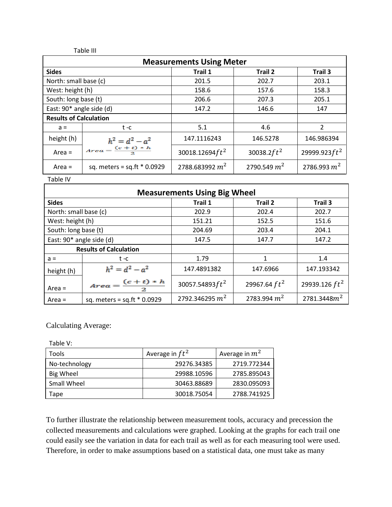Table III

| <b>Measurements Using Meter</b> |                               |                    |                |                  |  |
|---------------------------------|-------------------------------|--------------------|----------------|------------------|--|
| <b>Sides</b>                    |                               | Trail 1            | Trail 2        | Trail 3          |  |
| North: small base (c)           |                               | 201.5              | 202.7          | 203.1            |  |
| West: height (h)                |                               | 158.6              | 157.6          | 158.3            |  |
| South: long base (t)            |                               | 206.6              | 207.3          | 205.1            |  |
| East: 90* angle side (d)        |                               | 146.6<br>147.2     |                | 147              |  |
| <b>Results of Calculation</b>   |                               |                    |                |                  |  |
| $a =$                           | $t - c$                       | 5.1                | 4.6            | $\overline{2}$   |  |
| height (h)                      | $h^2 = d^2 - a^2$             | 147.1116243        | 146.5278       | 146.986394       |  |
| Area $=$                        | $Area = \frac{(c+t)*h}{2}$    | 30018.12694 $ft^2$ | 30038.2 $ft^2$ | 29999.923 $ft^2$ |  |
| Area $=$                        | sq. meters = $sq.ft * 0.0929$ | 2788.683992 $m2$   | 2790.549 $m2$  | 2786.993 $m2$    |  |

Table IV

| <b>Measurements Using Big Wheel</b> |                                |                    |                 |                  |  |  |
|-------------------------------------|--------------------------------|--------------------|-----------------|------------------|--|--|
| <b>Sides</b>                        |                                | Trail 1            | Trail 2         | Trail 3          |  |  |
| North: small base (c)               |                                | 202.9              | 202.4           | 202.7            |  |  |
| West: height (h)                    |                                | 151.21             | 152.5           | 151.6            |  |  |
| South: long base (t)                |                                | 204.69             | 203.4           | 204.1            |  |  |
| East: 90* angle side (d)            |                                | 147.5              | 147.7           |                  |  |  |
| <b>Results of Calculation</b>       |                                |                    |                 |                  |  |  |
| $a =$                               | $t - c$                        | 1.79               | 1               | 1.4              |  |  |
| height (h)                          | $h^2 = d^2 - a^2$              | 147.4891382        | 147.6966        | 147.193342       |  |  |
| Area $=$                            | $Area = \frac{(c+t)*h}{2}$     | 30057.54893 $ft^2$ | 29967.64 $ft^2$ | 29939.126 $ft^2$ |  |  |
| Area $=$                            | sq. meters = $sq.fit * 0.0929$ | 2792.346295 $m2$   | 2783.994 $m2$   | 2781.3448 $m^2$  |  |  |

Calculating Average:

Table V:

| Tools         | Average in $ft^2$ | Average in $m2$ |
|---------------|-------------------|-----------------|
| No-technology | 29276.34385       | 2719.772344     |
| Big Wheel     | 29988.10596       | 2785.895043     |
| Small Wheel   | 30463.88689       | 2830.095093     |
| Tape          | 30018.75054       | 2788.741925     |

To further illustrate the relationship between measurement tools, accuracy and precession the collected measurements and calculations were graphed. Looking at the graphs for each trail one could easily see the variation in data for each trail as well as for each measuring tool were used. Therefore, in order to make assumptions based on a statistical data, one must take as many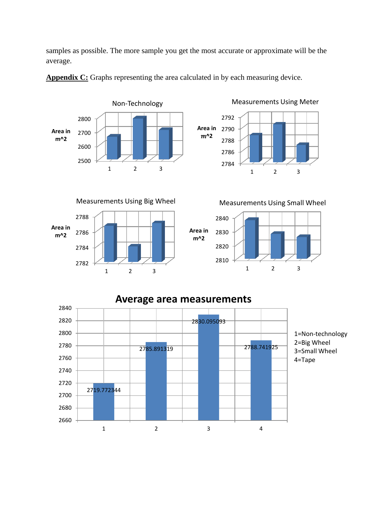samples as possible. The more sample you get the most accurate or approximate will be the average.



**Appendix C:** Graphs representing the area calculated in by each measuring device.



1 2 3

Measurements Using Meter

**Area in**   $m^2$